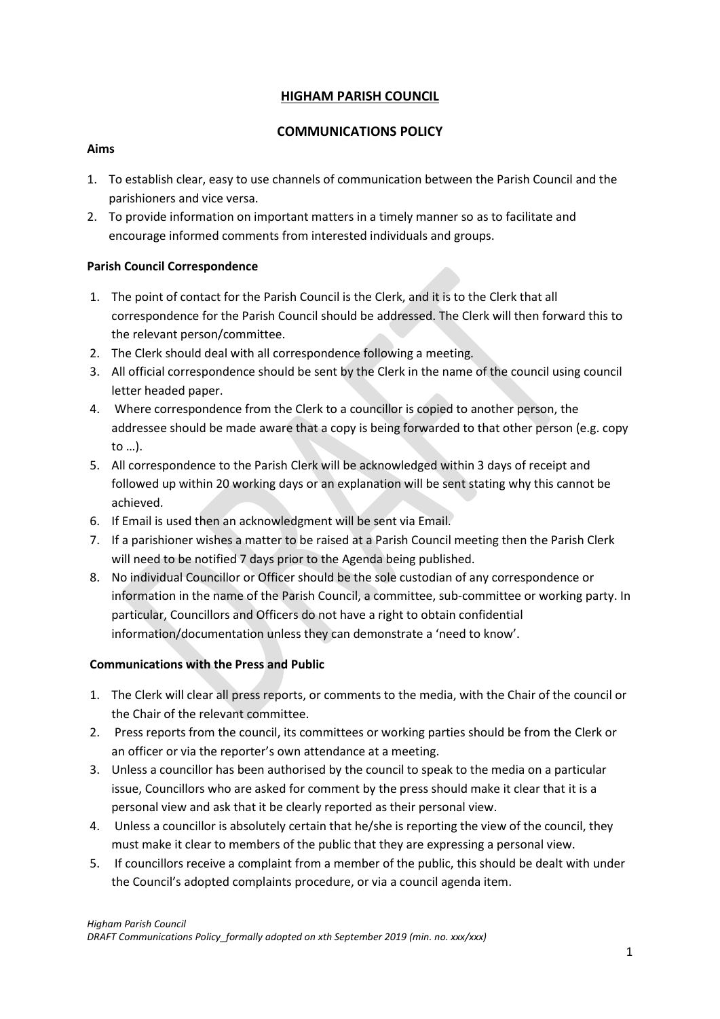## **HIGHAM PARISH COUNCIL**

### **COMMUNICATIONS POLICY**

#### **Aims**

- 1. To establish clear, easy to use channels of communication between the Parish Council and the parishioners and vice versa.
- 2. To provide information on important matters in a timely manner so as to facilitate and encourage informed comments from interested individuals and groups.

#### **Parish Council Correspondence**

- 1. The point of contact for the Parish Council is the Clerk, and it is to the Clerk that all correspondence for the Parish Council should be addressed. The Clerk will then forward this to the relevant person/committee.
- 2. The Clerk should deal with all correspondence following a meeting.
- 3. All official correspondence should be sent by the Clerk in the name of the council using council letter headed paper.
- 4. Where correspondence from the Clerk to a councillor is copied to another person, the addressee should be made aware that a copy is being forwarded to that other person (e.g. copy to …).
- 5. All correspondence to the Parish Clerk will be acknowledged within 3 days of receipt and followed up within 20 working days or an explanation will be sent stating why this cannot be achieved.
- 6. If Email is used then an acknowledgment will be sent via Email.
- 7. If a parishioner wishes a matter to be raised at a Parish Council meeting then the Parish Clerk will need to be notified 7 days prior to the Agenda being published.
- 8. No individual Councillor or Officer should be the sole custodian of any correspondence or information in the name of the Parish Council, a committee, sub-committee or working party. In particular, Councillors and Officers do not have a right to obtain confidential information/documentation unless they can demonstrate a 'need to know'.

#### **Communications with the Press and Public**

- 1. The Clerk will clear all press reports, or comments to the media, with the Chair of the council or the Chair of the relevant committee.
- 2. Press reports from the council, its committees or working parties should be from the Clerk or an officer or via the reporter's own attendance at a meeting.
- 3. Unless a councillor has been authorised by the council to speak to the media on a particular issue, Councillors who are asked for comment by the press should make it clear that it is a personal view and ask that it be clearly reported as their personal view.
- 4. Unless a councillor is absolutely certain that he/she is reporting the view of the council, they must make it clear to members of the public that they are expressing a personal view.
- 5. If councillors receive a complaint from a member of the public, this should be dealt with under the Council's adopted complaints procedure, or via a council agenda item.